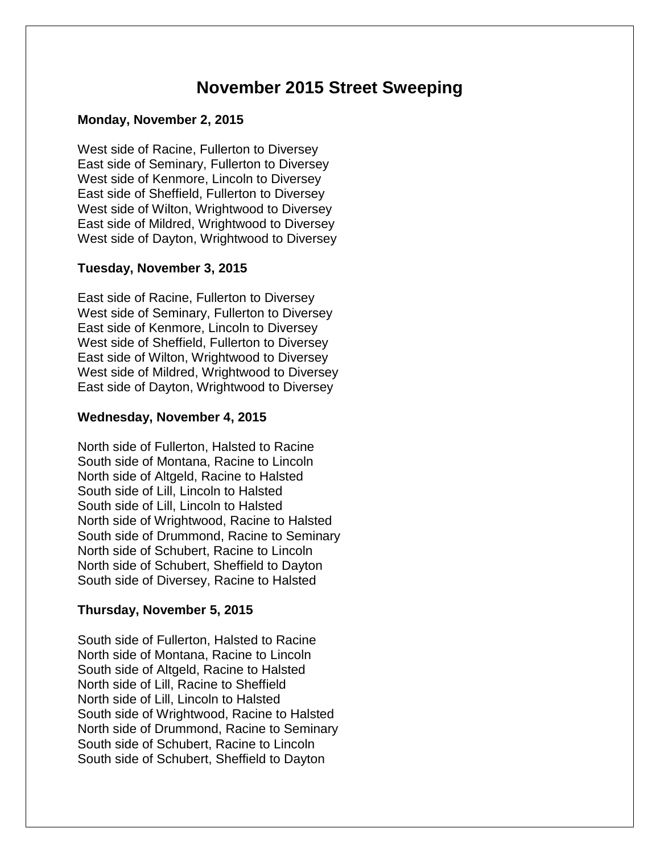# **November 2015 Street Sweeping**

## **Monday, November 2, 2015**

West side of Racine, Fullerton to Diversey East side of Seminary, Fullerton to Diversey West side of Kenmore, Lincoln to Diversey East side of Sheffield, Fullerton to Diversey West side of Wilton, Wrightwood to Diversey East side of Mildred, Wrightwood to Diversey West side of Dayton, Wrightwood to Diversey

# **Tuesday, November 3, 2015**

East side of Racine, Fullerton to Diversey West side of Seminary, Fullerton to Diversey East side of Kenmore, Lincoln to Diversey West side of Sheffield, Fullerton to Diversey East side of Wilton, Wrightwood to Diversey West side of Mildred, Wrightwood to Diversey East side of Dayton, Wrightwood to Diversey

# **Wednesday, November 4, 2015**

North side of Fullerton, Halsted to Racine South side of Montana, Racine to Lincoln North side of Altgeld, Racine to Halsted South side of Lill, Lincoln to Halsted South side of Lill, Lincoln to Halsted North side of Wrightwood, Racine to Halsted South side of Drummond, Racine to Seminary North side of Schubert, Racine to Lincoln North side of Schubert, Sheffield to Dayton South side of Diversey, Racine to Halsted

# **Thursday, November 5, 2015**

South side of Fullerton, Halsted to Racine North side of Montana, Racine to Lincoln South side of Altgeld, Racine to Halsted North side of Lill, Racine to Sheffield North side of Lill, Lincoln to Halsted South side of Wrightwood, Racine to Halsted North side of Drummond, Racine to Seminary South side of Schubert, Racine to Lincoln South side of Schubert, Sheffield to Dayton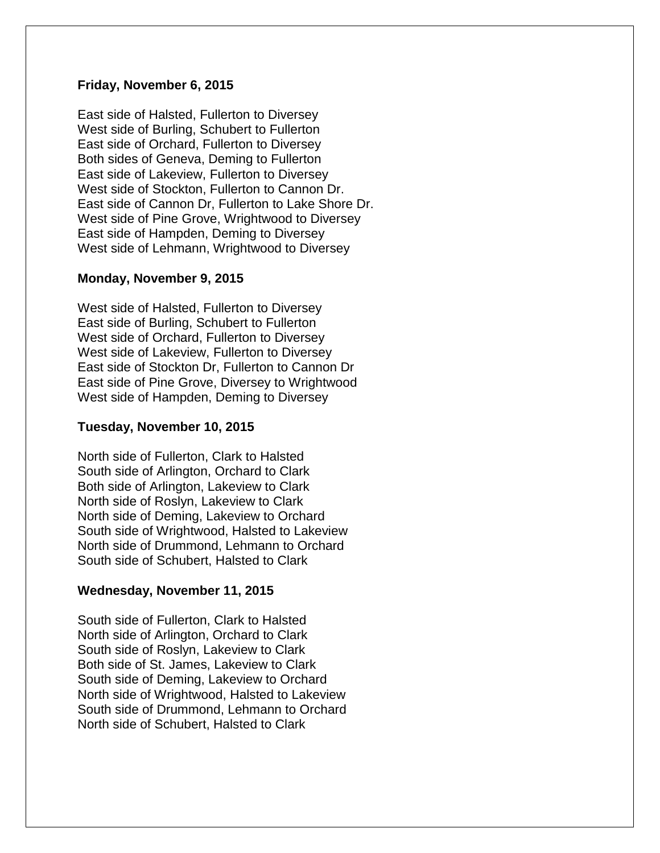#### **Friday, November 6, 2015**

East side of Halsted, Fullerton to Diversey West side of Burling, Schubert to Fullerton East side of Orchard, Fullerton to Diversey Both sides of Geneva, Deming to Fullerton East side of Lakeview, Fullerton to Diversey West side of Stockton, Fullerton to Cannon Dr. East side of Cannon Dr, Fullerton to Lake Shore Dr. West side of Pine Grove, Wrightwood to Diversey East side of Hampden, Deming to Diversey West side of Lehmann, Wrightwood to Diversey

#### **Monday, November 9, 2015**

West side of Halsted, Fullerton to Diversey East side of Burling, Schubert to Fullerton West side of Orchard, Fullerton to Diversey West side of Lakeview, Fullerton to Diversey East side of Stockton Dr, Fullerton to Cannon Dr East side of Pine Grove, Diversey to Wrightwood West side of Hampden, Deming to Diversey

#### **Tuesday, November 10, 2015**

North side of Fullerton, Clark to Halsted South side of Arlington, Orchard to Clark Both side of Arlington, Lakeview to Clark North side of Roslyn, Lakeview to Clark North side of Deming, Lakeview to Orchard South side of Wrightwood, Halsted to Lakeview North side of Drummond, Lehmann to Orchard South side of Schubert, Halsted to Clark

#### **Wednesday, November 11, 2015**

South side of Fullerton, Clark to Halsted North side of Arlington, Orchard to Clark South side of Roslyn, Lakeview to Clark Both side of St. James, Lakeview to Clark South side of Deming, Lakeview to Orchard North side of Wrightwood, Halsted to Lakeview South side of Drummond, Lehmann to Orchard North side of Schubert, Halsted to Clark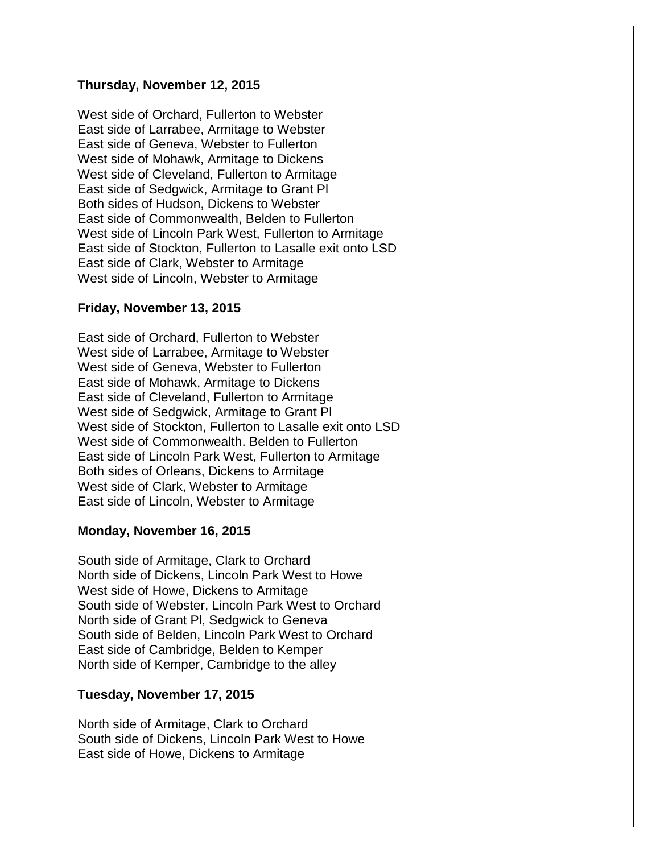## **Thursday, November 12, 2015**

West side of Orchard, Fullerton to Webster East side of Larrabee, Armitage to Webster East side of Geneva, Webster to Fullerton West side of Mohawk, Armitage to Dickens West side of Cleveland, Fullerton to Armitage East side of Sedgwick, Armitage to Grant Pl Both sides of Hudson, Dickens to Webster East side of Commonwealth, Belden to Fullerton West side of Lincoln Park West, Fullerton to Armitage East side of Stockton, Fullerton to Lasalle exit onto LSD East side of Clark, Webster to Armitage West side of Lincoln, Webster to Armitage

#### **Friday, November 13, 2015**

East side of Orchard, Fullerton to Webster West side of Larrabee, Armitage to Webster West side of Geneva, Webster to Fullerton East side of Mohawk, Armitage to Dickens East side of Cleveland, Fullerton to Armitage West side of Sedgwick, Armitage to Grant Pl West side of Stockton, Fullerton to Lasalle exit onto LSD West side of Commonwealth. Belden to Fullerton East side of Lincoln Park West, Fullerton to Armitage Both sides of Orleans, Dickens to Armitage West side of Clark, Webster to Armitage East side of Lincoln, Webster to Armitage

#### **Monday, November 16, 2015**

South side of Armitage, Clark to Orchard North side of Dickens, Lincoln Park West to Howe West side of Howe, Dickens to Armitage South side of Webster, Lincoln Park West to Orchard North side of Grant Pl, Sedgwick to Geneva South side of Belden, Lincoln Park West to Orchard East side of Cambridge, Belden to Kemper North side of Kemper, Cambridge to the alley

#### **Tuesday, November 17, 2015**

North side of Armitage, Clark to Orchard South side of Dickens, Lincoln Park West to Howe East side of Howe, Dickens to Armitage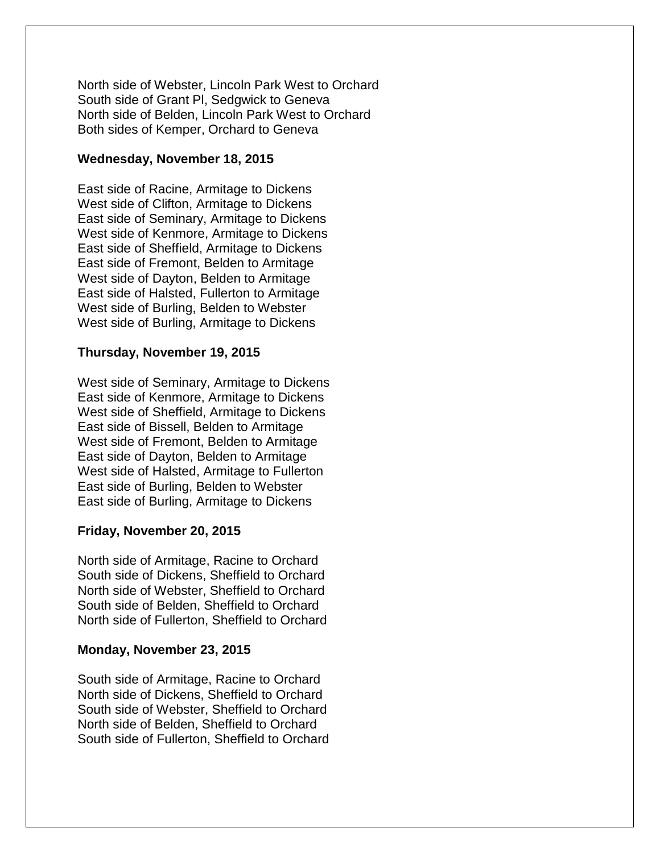North side of Webster, Lincoln Park West to Orchard South side of Grant Pl, Sedgwick to Geneva North side of Belden, Lincoln Park West to Orchard Both sides of Kemper, Orchard to Geneva

## **Wednesday, November 18, 2015**

East side of Racine, Armitage to Dickens West side of Clifton, Armitage to Dickens East side of Seminary, Armitage to Dickens West side of Kenmore, Armitage to Dickens East side of Sheffield, Armitage to Dickens East side of Fremont, Belden to Armitage West side of Dayton, Belden to Armitage East side of Halsted, Fullerton to Armitage West side of Burling, Belden to Webster West side of Burling, Armitage to Dickens

## **Thursday, November 19, 2015**

West side of Seminary, Armitage to Dickens East side of Kenmore, Armitage to Dickens West side of Sheffield, Armitage to Dickens East side of Bissell, Belden to Armitage West side of Fremont, Belden to Armitage East side of Dayton, Belden to Armitage West side of Halsted, Armitage to Fullerton East side of Burling, Belden to Webster East side of Burling, Armitage to Dickens

## **Friday, November 20, 2015**

North side of Armitage, Racine to Orchard South side of Dickens, Sheffield to Orchard North side of Webster, Sheffield to Orchard South side of Belden, Sheffield to Orchard North side of Fullerton, Sheffield to Orchard

## **Monday, November 23, 2015**

South side of Armitage, Racine to Orchard North side of Dickens, Sheffield to Orchard South side of Webster, Sheffield to Orchard North side of Belden, Sheffield to Orchard South side of Fullerton, Sheffield to Orchard